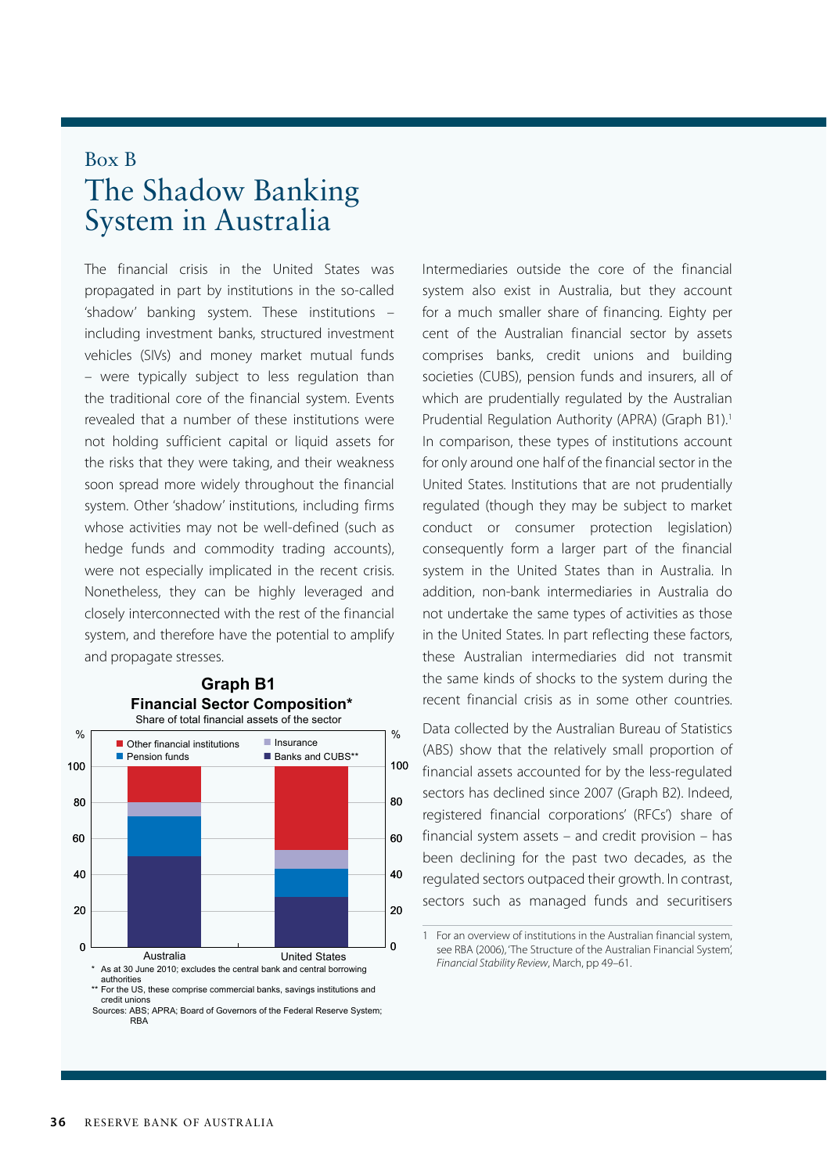## Box B The Shadow Banking System in Australia

The financial crisis in the United States was propagated in part by institutions in the so-called 'shadow' banking system. These institutions – including investment banks, structured investment vehicles (SIVs) and money market mutual funds – were typically subject to less regulation than the traditional core of the financial system. Events revealed that a number of these institutions were not holding sufficient capital or liquid assets for the risks that they were taking, and their weakness soon spread more widely throughout the financial system. Other 'shadow' institutions, including firms whose activities may not be well-defined (such as hedge funds and commodity trading accounts), were not especially implicated in the recent crisis. Nonetheless, they can be highly leveraged and closely interconnected with the rest of the financial system, and therefore have the potential to amplify and propagate stresses.



## **Graph B1 Financial Sector Composition\***

\*\* For the US, these comprise commercial banks, savings institutions and credit unions

Sources: ABS; APRA; Board of Governors of the Federal Reserve System; RBA

Intermediaries outside the core of the financial system also exist in Australia, but they account for a much smaller share of financing. Eighty per cent of the Australian financial sector by assets comprises banks, credit unions and building societies (CUBS), pension funds and insurers, all of which are prudentially regulated by the Australian Prudential Regulation Authority (APRA) (Graph B1).<sup>1</sup> In comparison, these types of institutions account for only around one half of the financial sector in the United States. Institutions that are not prudentially regulated (though they may be subject to market conduct or consumer protection legislation) consequently form a larger part of the financial system in the United States than in Australia. In addition, non-bank intermediaries in Australia do not undertake the same types of activities as those in the United States. In part reflecting these factors, these Australian intermediaries did not transmit the same kinds of shocks to the system during the recent financial crisis as in some other countries.

Data collected by the Australian Bureau of Statistics (ABS) show that the relatively small proportion of financial assets accounted for by the less-regulated sectors has declined since 2007 (Graph B2). Indeed, registered financial corporations' (RFCs') share of financial system assets – and credit provision – has been declining for the past two decades, as the regulated sectors outpaced their growth. In contrast, sectors such as managed funds and securitisers

<sup>1</sup> For an overview of institutions in the Australian financial system, see RBA (2006), 'The Structure of the Australian Financial System', *Financial Stability Review*, March, pp 49–61.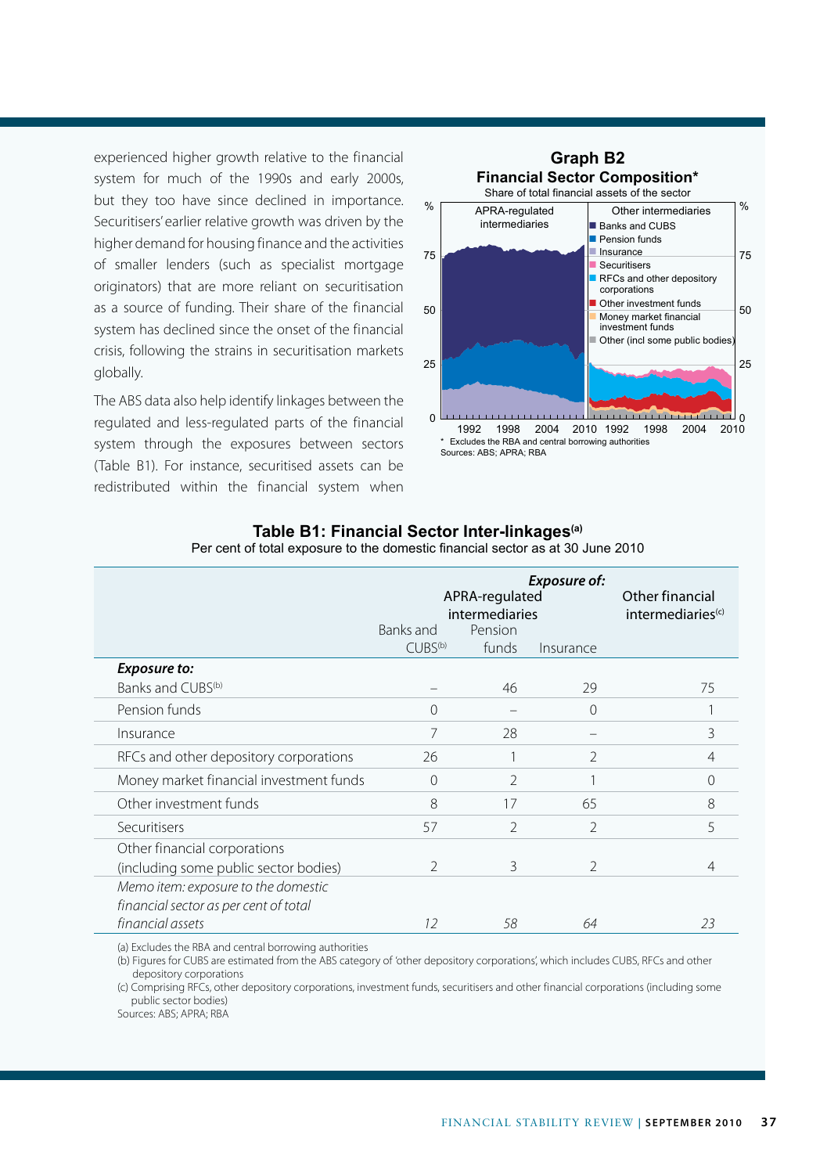experienced higher growth relative to the financial system for much of the 1990s and early 2000s, but they too have since declined in importance. Securitisers' earlier relative growth was driven by the higher demand for housing finance and the activities of smaller lenders (such as specialist mortgage originators) that are more reliant on securitisation as a source of funding. Their share of the financial system has declined since the onset of the financial crisis, following the strains in securitisation markets globally.

The ABS data also help identify linkages between the regulated and less-regulated parts of the financial system through the exposures between sectors (Table B1). For instance, securitised assets can be redistributed within the financial system when



|                                         | Exposure of:<br>APRA-regulated<br>intermediaries<br>Pension<br>Banks and<br>$CUBS^{(b)}$<br>funds<br>Insurance |                |                | Other financial<br>intermediaries <sup>(c)</sup> |
|-----------------------------------------|----------------------------------------------------------------------------------------------------------------|----------------|----------------|--------------------------------------------------|
| <b>Exposure to:</b>                     |                                                                                                                |                |                |                                                  |
| Banks and CUBS <sup>(b)</sup>           |                                                                                                                | 46             | 29             | 75                                               |
| Pension funds                           | $\Omega$                                                                                                       |                | $\Omega$       |                                                  |
| Insurance                               | 7                                                                                                              | 28             |                | 3                                                |
| RFCs and other depository corporations  | 26                                                                                                             |                | $\mathfrak{D}$ | 4                                                |
| Money market financial investment funds | $\Omega$                                                                                                       | $\mathfrak{D}$ |                | 0                                                |
| Other investment funds                  | 8                                                                                                              | 17             | 65             | 8                                                |
| Securitisers                            | 57                                                                                                             | $\mathcal{P}$  | $\overline{2}$ | 5                                                |
| Other financial corporations            |                                                                                                                |                |                |                                                  |
| (including some public sector bodies)   | $\mathcal{P}$                                                                                                  | 3              | $\mathfrak{D}$ | 4                                                |
| Memo item: exposure to the domestic     |                                                                                                                |                |                |                                                  |
| financial sector as per cent of total   |                                                                                                                |                |                |                                                  |
| financial assets                        | 12                                                                                                             | 58             | 64             | 23                                               |

## **Table B1: Financial Sector Inter-linkages(a)** Per cent of total exposure to the domestic financial sector as at 30 June 2010

(a) Excludes the RBA and central borrowing authorities

(b) Figures for CUBS are estimated from the ABS category of 'other depository corporations', which includes CUBS, RFCs and other depository corporations

(c) Comprising RFCs, other depository corporations, investment funds, securitisers and other financial corporations (including some public sector bodies)

Sources: ABS; APRA; RBA